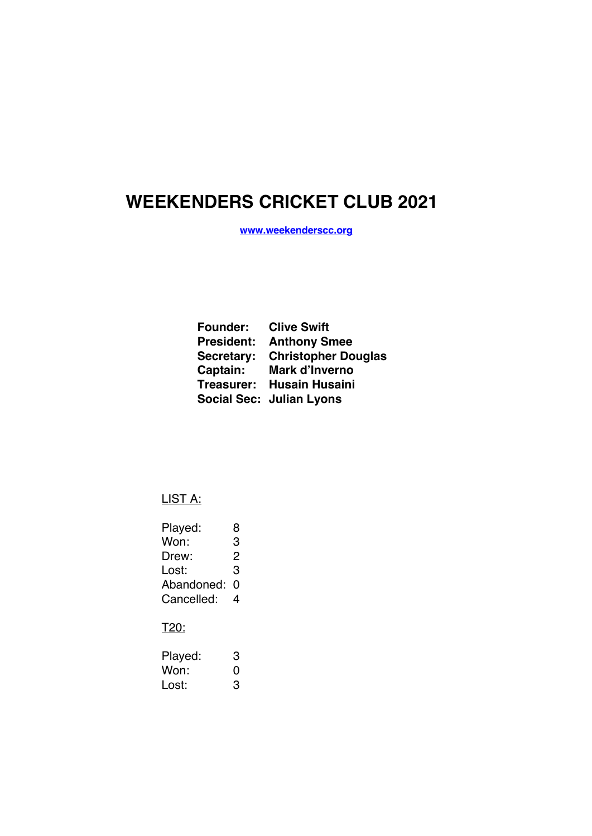# **WEEKENDERS CRICKET CLUB 2021**

**www.weekenderscc.org**

| <b>Founder: Clive Swift</b> |                                 |
|-----------------------------|---------------------------------|
|                             | <b>President: Anthony Smee</b>  |
|                             | Secretary: Christopher Douglas  |
| Captain:                    | Mark d'Inverno                  |
|                             | Treasurer: Husain Husaini       |
|                             | <b>Social Sec: Julian Lyons</b> |

LIST A:

| Played:    | 8 |
|------------|---|
| Won:       | З |
| Drew:      | 2 |
| Lost:      | З |
| Abandoned: | O |
| Cancelled: | 4 |
|            |   |

T20:

| Played: | З |
|---------|---|
| Won:    | O |
| Lost:   | З |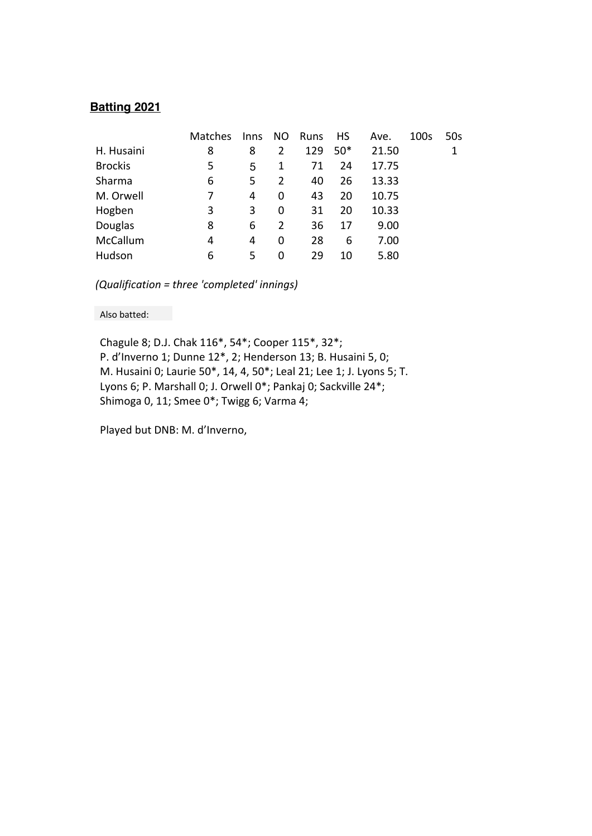#### **Batting 2021**

|                | <b>Matches</b> | Inns | NO. | Runs | <b>HS</b> | Ave.  | 100s | 50s |
|----------------|----------------|------|-----|------|-----------|-------|------|-----|
| H. Husaini     | 8              | 8    | 2   | 129  | $50*$     | 21.50 |      | 1   |
| <b>Brockis</b> | 5              | 5    | 1   | 71   | 24        | 17.75 |      |     |
| Sharma         | 6              | 5    | 2   | 40   | 26        | 13.33 |      |     |
| M. Orwell      | 7              | 4    | 0   | 43   | 20        | 10.75 |      |     |
| Hogben         | 3              | 3    | 0   | 31   | 20        | 10.33 |      |     |
| Douglas        | 8              | 6    | 2   | 36   | 17        | 9.00  |      |     |
| McCallum       | 4              | 4    | 0   | 28   | 6         | 7.00  |      |     |
| Hudson         | 6              | 5.   | 0   | 29   | 10        | 5.80  |      |     |

 *(Qualification = three 'completed' innings)*

Also batted:

Chagule 8; D.J. Chak 116\*, 54\*; Cooper 115\*, 32\*; P. d'Inverno 1; Dunne 12\*, 2; Henderson 13; B. Husaini 5, 0; M. Husaini 0; Laurie 50\*, 14, 4, 50\*; Leal 21; Lee 1; J. Lyons 5; T. Lyons 6; P. Marshall 0; J. Orwell 0\*; Pankaj 0; Sackville 24\*; Shimoga 0, 11; Smee 0\*; Twigg 6; Varma 4;

Played but DNB: M. d'Inverno,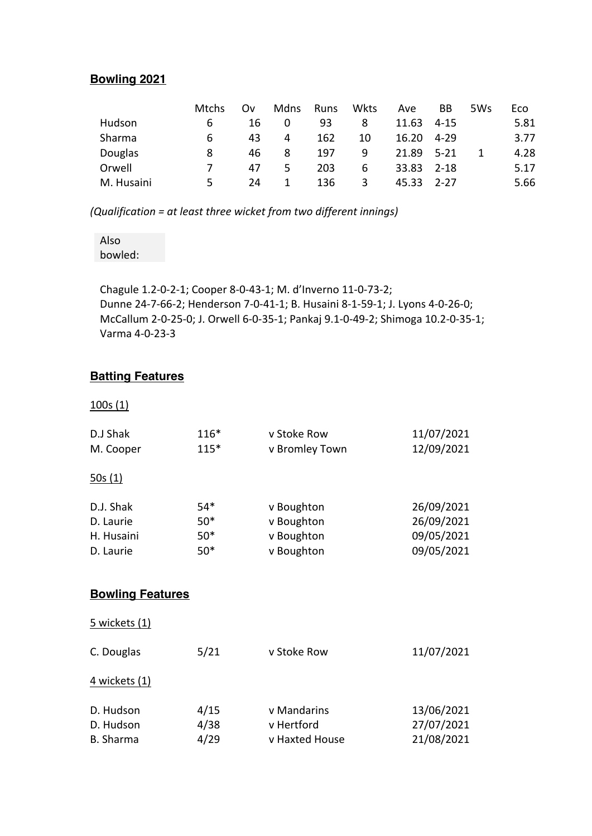# **Bowling 2021**

|            | Mtchs | Ov | Mdns | <b>Runs</b> | Wkts | Ave   | BВ       | 5Ws | Eco  |
|------------|-------|----|------|-------------|------|-------|----------|-----|------|
| Hudson     | 6     | 16 | O    | 93          | 8    | 11.63 | 4-15     |     | 5.81 |
| Sharma     | 6     | 43 | 4    | 162         | 10   | 16.20 | 4-29     |     | 3.77 |
| Douglas    | 8     | 46 | 8    | 197         | q    | 21.89 | 5-21     |     | 4.28 |
| Orwell     |       | 47 | 5    | 203         | 6    | 33.83 | - 2-18   |     | 5.17 |
| M. Husaini | 5     | 24 |      | 136         | 3    | 45.33 | $2 - 27$ |     | 5.66 |

*(Qualification = at least three wicket from two different innings)*

Also bowled:

Chagule 1.2-0-2-1; Cooper 8-0-43-1; M. d'Inverno 11-0-73-2; Dunne 24-7-66-2; Henderson 7-0-41-1; B. Husaini 8-1-59-1; J. Lyons 4-0-26-0; McCallum 2-0-25-0; J. Orwell 6-0-35-1; Pankaj 9.1-0-49-2; Shimoga 10.2-0-35-1; Varma 4-0-23-3

#### **Batting Features**

100s (1)

| D.J Shak   | $116*$ | v Stoke Row    | 11/07/2021 |
|------------|--------|----------------|------------|
| M. Cooper  | $115*$ | v Bromley Town | 12/09/2021 |
| 50s(1)     |        |                |            |
| D.J. Shak  | $54*$  | v Boughton     | 26/09/2021 |
| D. Laurie  | $50*$  | v Boughton     | 26/09/2021 |
| H. Husaini | $50*$  | v Boughton     | 09/05/2021 |
| D. Laurie  | $50*$  | v Boughton     | 09/05/2021 |

#### **Bowling Features**

| 5 wickets (1)          |                      |                           |                                        |
|------------------------|----------------------|---------------------------|----------------------------------------|
| C. Douglas             | 5/21                 | v Stoke Row               | 11/07/2021                             |
| 4 wickets (1)          |                      |                           |                                        |
| D. Hudson<br>D. Hudson | 4/15<br>4/38<br>4/29 | v Mandarins<br>v Hertford | 13/06/2021<br>27/07/2021<br>21/08/2021 |
| <b>B.</b> Sharma       |                      | v Haxted House            |                                        |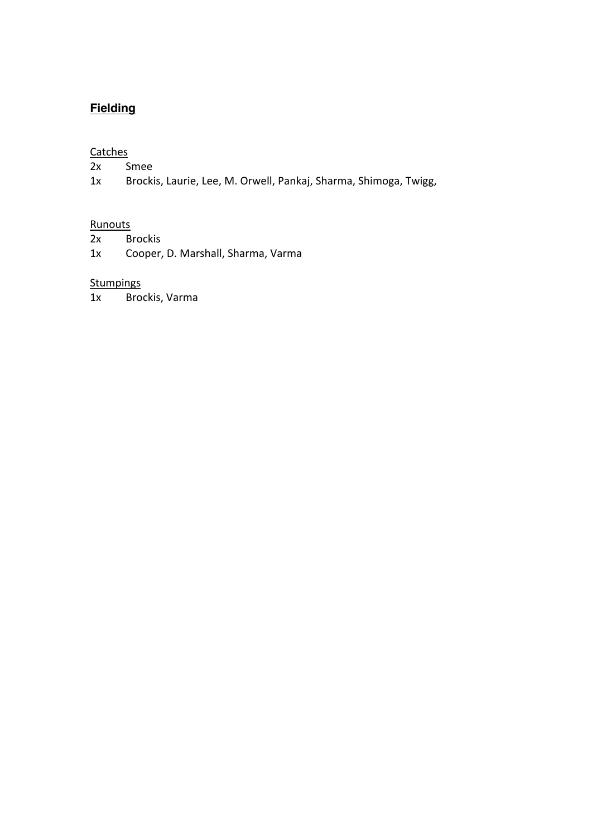# **Fielding**

#### **Catches**

- 2x Smee
- 1x Brockis, Laurie, Lee, M. Orwell, Pankaj, Sharma, Shimoga, Twigg,

#### **Runouts**

- 2x Brockis
- 1x Cooper, D. Marshall, Sharma, Varma

## **Stumpings**

1x Brockis, Varma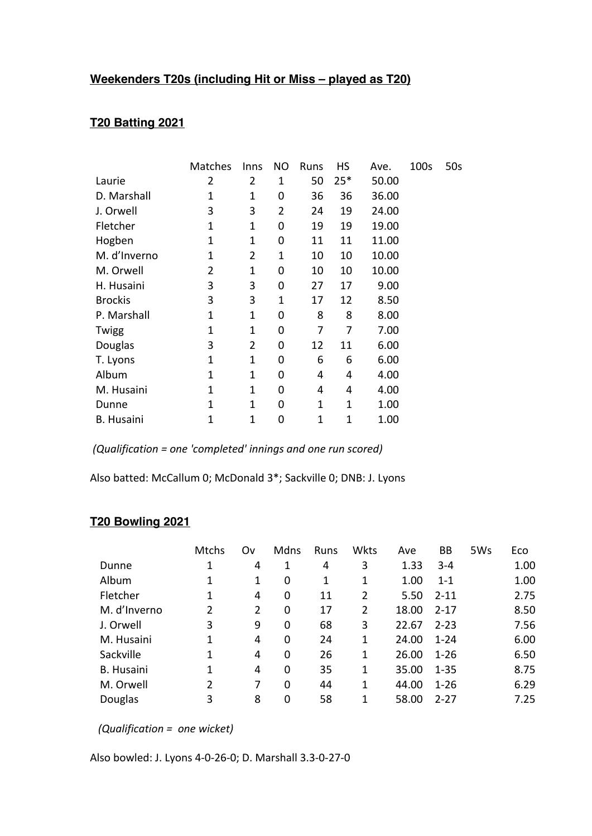# **Weekenders T20s (including Hit or Miss – played as T20)**

# **T20 Batting 2021**

|                   | Matches     | Inns           | NO             | Runs        | HS    | Ave.  | 100s | 50s |
|-------------------|-------------|----------------|----------------|-------------|-------|-------|------|-----|
| Laurie            | 2           | 2              | 1              | 50          | $25*$ | 50.00 |      |     |
| D. Marshall       | 1           | 1              | 0              | 36          | 36    | 36.00 |      |     |
| J. Orwell         | 3           | 3              | $\overline{2}$ | 24          | 19    | 24.00 |      |     |
| Fletcher          | 1           | 1              | 0              | 19          | 19    | 19.00 |      |     |
| Hogben            | 1           | 1              | 0              | 11          | 11    | 11.00 |      |     |
| M. d'Inverno      | 1           | 2              | 1              | 10          | 10    | 10.00 |      |     |
| M. Orwell         | 2           | 1              | 0              | 10          | 10    | 10.00 |      |     |
| H. Husaini        | 3           | 3              | 0              | 27          | 17    | 9.00  |      |     |
| <b>Brockis</b>    | 3           | 3              | 1              | 17          | 12    | 8.50  |      |     |
| P. Marshall       | 1           | 1              | 0              | 8           | 8     | 8.00  |      |     |
| Twigg             | 1           | 1              | 0              | 7           | 7     | 7.00  |      |     |
| Douglas           | 3           | $\overline{2}$ | 0              | 12          | 11    | 6.00  |      |     |
| T. Lyons          | $\mathbf 1$ | $\mathbf 1$    | 0              | 6           | 6     | 6.00  |      |     |
| Album             | 1           | 1              | 0              | 4           | 4     | 4.00  |      |     |
| M. Husaini        | 1           | 1              | 0              | 4           | 4     | 4.00  |      |     |
| Dunne             | 1           | $\mathbf 1$    | 0              | 1           | 1     | 1.00  |      |     |
| <b>B.</b> Husaini | 1           | 1              | 0              | $\mathbf 1$ | 1     | 1.00  |      |     |

*(Qualification = one 'completed' innings and one run scored)*

Also batted: McCallum 0; McDonald 3\*; Sackville 0; DNB: J. Lyons

## **T20 Bowling 2021**

|                   | <b>Mtchs</b> | Ov | Mdns | Runs | Wkts | Ave   | ВB       | 5Ws | Eco  |
|-------------------|--------------|----|------|------|------|-------|----------|-----|------|
| Dunne             | 1            | 4  | 1    | 4    | 3    | 1.33  | $3 - 4$  |     | 1.00 |
| Album             | 1            | 1  | 0    | 1    | 1    | 1.00  | $1 - 1$  |     | 1.00 |
| Fletcher          | 1            | 4  | 0    | 11   | 2    | 5.50  | $2 - 11$ |     | 2.75 |
| M. d'Inverno      | 2            | 2  | 0    | 17   | 2    | 18.00 | $2 - 17$ |     | 8.50 |
| J. Orwell         | 3            | 9  | 0    | 68   | 3    | 22.67 | $2 - 23$ |     | 7.56 |
| M. Husaini        | 1            | 4  | 0    | 24   | 1    | 24.00 | $1 - 24$ |     | 6.00 |
| Sackville         | 1            | 4  | 0    | 26   | 1    | 26.00 | $1 - 26$ |     | 6.50 |
| <b>B.</b> Husaini | 1            | 4  | 0    | 35   | 1    | 35.00 | $1 - 35$ |     | 8.75 |
| M. Orwell         | 2            | 7  | 0    | 44   | 1    | 44.00 | $1 - 26$ |     | 6.29 |
| Douglas           | 3            | 8  | 0    | 58   |      | 58.00 | $2 - 27$ |     | 7.25 |

 *(Qualification = one wicket)*

Also bowled: J. Lyons 4-0-26-0; D. Marshall 3.3-0-27-0